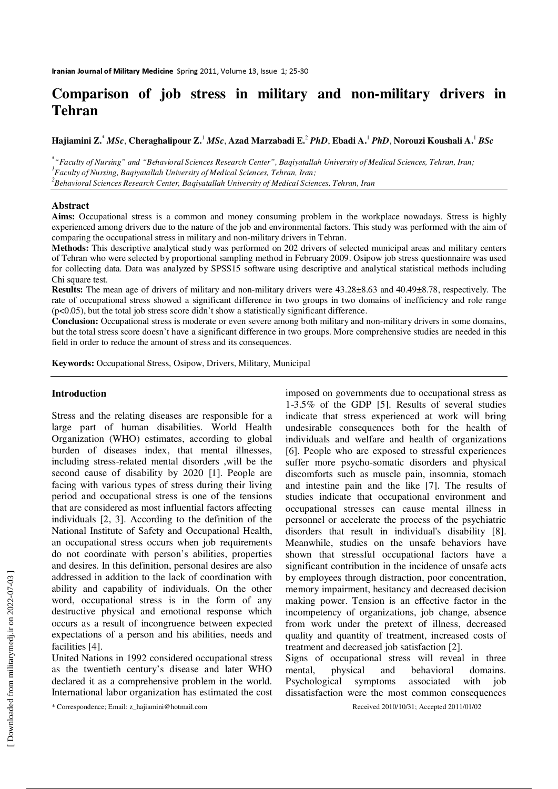# **Comparison of job stress in military and non-military drivers in Tehran**

**Hajiamini Z.\***  *MSc*, **Cheraghalipour Z.**<sup>1</sup> *MSc*, **Azad Marzabadi E.**<sup>2</sup> *PhD*, **Ebadi A.**<sup>1</sup> *PhD*, **Norouzi Koushali A.**<sup>1</sup> *BSc*

**\*** *"Faculty of Nursing" and "Behavioral Sciences Research Center", Baqiyatallah University of Medical Sciences, Tehran, Iran; 1 Faculty of Nursing, Baqiyatallah University of Medical Sciences, Tehran, Iran;* 

*2 Behavioral Sciences Research Center, Baqiyatallah University of Medical Sciences, Tehran, Iran*

### **Abstract**

**Aims:** Occupational stress is a common and money consuming problem in the workplace nowadays. Stress is highly experienced among drivers due to the nature of the job and environmental factors. This study was performed with the aim of comparing the occupational stress in military and non-military drivers in Tehran.

**Methods:** This descriptive analytical study was performed on 202 drivers of selected municipal areas and military centers of Tehran who were selected by proportional sampling method in February 2009. Osipow job stress questionnaire was used for collecting data. Data was analyzed by SPSS15 software using descriptive and analytical statistical methods including Chi square test.

**Results:** The mean age of drivers of military and non-military drivers were 43.28±8.63 and 40.49±8.78, respectively. The rate of occupational stress showed a significant difference in two groups in two domains of inefficiency and role range (p<0.05), but the total job stress score didn't show a statistically significant difference.

**Conclusion:** Occupational stress is moderate or even severe among both military and non-military drivers in some domains, but the total stress score doesn't have a significant difference in two groups. More comprehensive studies are needed in this field in order to reduce the amount of stress and its consequences.

**Keywords:** Occupational Stress, Osipow, Drivers, Military, Municipal

## **Introduction**

Stress and the relating diseases are responsible for a large part of human disabilities. World Health Organization (WHO) estimates, according to global burden of diseases index, that mental illnesses, including stress-related mental disorders ,will be the second cause of disability by 2020 [1]. People are facing with various types of stress during their living period and occupational stress is one of the tensions that are considered as most influential factors affecting individuals [2, 3]. According to the definition of the National Institute of Safety and Occupational Health, an occupational stress occurs when job requirements do not coordinate with person's abilities, properties and desires. In this definition, personal desires are also addressed in addition to the lack of coordination with ability and capability of individuals. On the other word, occupational stress is in the form of any destructive physical and emotional response which occurs as a result of incongruence between expected expectations of a person and his abilities, needs and facilities [4].

United Nations in 1992 considered occupational stress as the twentieth century's disease and later WHO declared it as a comprehensive problem in the world. International labor organization has estimated the cost

\* Correspondence; Email: z\_hajiamini@hotmail.com Received 2010/10/31; Accepted 2011/01/02

imposed on governments due to occupational stress as 1-3.5% of the GDP [5]. Results of several studies indicate that stress experienced at work will bring undesirable consequences both for the health of individuals and welfare and health of organizations [6]. People who are exposed to stressful experiences suffer more psycho-somatic disorders and physical discomforts such as muscle pain, insomnia, stomach and intestine pain and the like [7]. The results of studies indicate that occupational environment and occupational stresses can cause mental illness in personnel or accelerate the process of the psychiatric disorders that result in individual's disability [8]. Meanwhile, studies on the unsafe behaviors have shown that stressful occupational factors have a significant contribution in the incidence of unsafe acts by employees through distraction, poor concentration, memory impairment, hesitancy and decreased decision making power. Tension is an effective factor in the incompetency of organizations, job change, absence from work under the pretext of illness, decreased quality and quantity of treatment, increased costs of treatment and decreased job satisfaction [2].

Signs of occupational stress will reveal in three mental, physical and behavioral domains. Psychological symptoms associated with job dissatisfaction were the most common consequences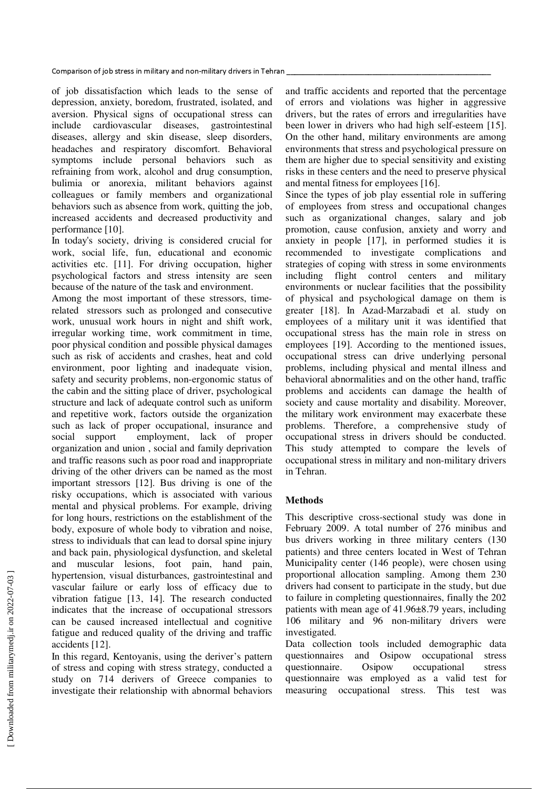of job dissatisfaction which leads to the sense of depression, anxiety, boredom, frustrated, isolated, and aversion. Physical signs of occupational stress can include cardiovascular diseases, gastrointestinal diseases, allergy and skin disease, sleep disorders, headaches and respiratory discomfort. Behavioral symptoms include personal behaviors such as refraining from work, alcohol and drug consumption, bulimia or anorexia, militant behaviors against colleagues or family members and organizational behaviors such as absence from work, quitting the job, increased accidents and decreased productivity and performance [10].

In today's society, driving is considered crucial for work, social life, fun, educational and economic activities etc. [11]. For driving occupation, higher psychological factors and stress intensity are seen because of the nature of the task and environment.

Among the most important of these stressors, timerelated stressors such as prolonged and consecutive work, unusual work hours in night and shift work, irregular working time, work commitment in time, poor physical condition and possible physical damages such as risk of accidents and crashes, heat and cold environment, poor lighting and inadequate vision, safety and security problems, non-ergonomic status of the cabin and the sitting place of driver, psychological structure and lack of adequate control such as uniform and repetitive work, factors outside the organization such as lack of proper occupational, insurance and social support employment, lack of proper organization and union , social and family deprivation and traffic reasons such as poor road and inappropriate driving of the other drivers can be named as the most important stressors [12]. Bus driving is one of the risky occupations, which is associated with various mental and physical problems. For example, driving for long hours, restrictions on the establishment of the body, exposure of whole body to vibration and noise, stress to individuals that can lead to dorsal spine injury and back pain, physiological dysfunction, and skeletal and muscular lesions, foot pain, hand pain, hypertension, visual disturbances, gastrointestinal and vascular failure or early loss of efficacy due to vibration fatigue [13, 14]. The research conducted indicates that the increase of occupational stressors can be caused increased intellectual and cognitive fatigue and reduced quality of the driving and traffic accidents [12].

In this regard, Kentoyanis, using the deriver's pattern of stress and coping with stress strategy, conducted a study on 714 derivers of Greece companies to investigate their relationship with abnormal behaviors

and traffic accidents and reported that the percentage of errors and violations was higher in aggressive drivers, but the rates of errors and irregularities have been lower in drivers who had high self-esteem [15]. On the other hand, military environments are among environments that stress and psychological pressure on them are higher due to special sensitivity and existing risks in these centers and the need to preserve physical and mental fitness for employees [16].

Since the types of job play essential role in suffering of employees from stress and occupational changes such as organizational changes, salary and job promotion, cause confusion, anxiety and worry and anxiety in people [17], in performed studies it is recommended to investigate complications and strategies of coping with stress in some environments including flight control centers and military environments or nuclear facilities that the possibility of physical and psychological damage on them is greater [18]. In Azad-Marzabadi et al. study on employees of a military unit it was identified that occupational stress has the main role in stress on employees [19]. According to the mentioned issues, occupational stress can drive underlying personal problems, including physical and mental illness and behavioral abnormalities and on the other hand, traffic problems and accidents can damage the health of society and cause mortality and disability. Moreover, the military work environment may exacerbate these problems. Therefore, a comprehensive study of occupational stress in drivers should be conducted. This study attempted to compare the levels of occupational stress in military and non-military drivers in Tehran.

# **Methods**

This descriptive cross-sectional study was done in February 2009. A total number of 276 minibus and bus drivers working in three military centers (130 patients) and three centers located in West of Tehran Municipality center (146 people), were chosen using proportional allocation sampling. Among them 230 drivers had consent to participate in the study, but due to failure in completing questionnaires, finally the 202 patients with mean age of 41.96±8.79 years, including 106 military and 96 non-military drivers were investigated.

Data collection tools included demographic data questionnaires and Osipow occupational stress questionnaire. Osipow occupational stress questionnaire was employed as a valid test for measuring occupational stress. This test was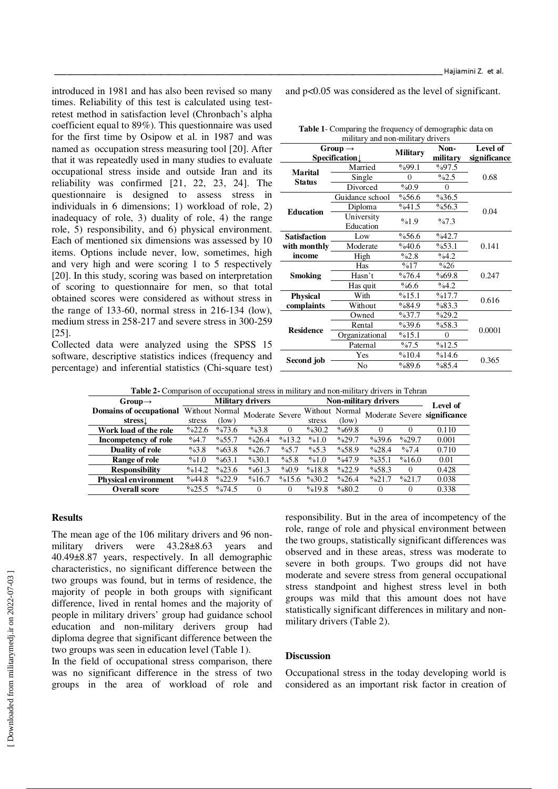introduced in 1981 and has also been revised so many times. Reliability of this test is calculated using testretest method in satisfaction level (Chronbach's alpha coefficient equal to 89%). This questionnaire was used for the first time by Osipow et al. in 1987 and was named as occupation stress measuring tool [20]. After that it was repeatedly used in many studies to evaluate occupational stress inside and outside Iran and its reliability was confirmed [21, 22, 23, 24]. The questionnaire is designed to assess stress in individuals in 6 dimensions; 1) workload of role, 2) inadequacy of role, 3) duality of role, 4) the range role, 5) responsibility, and 6) physical environment. Each of mentioned six dimensions was assessed by 10 items. Options include never, low, sometimes, high and very high and were scoring 1 to 5 respectively [20]. In this study, scoring was based on interpretation of scoring to questionnaire for men, so that total obtained scores were considered as without stress in the range of 133-60, normal stress in 216-134 (low), medium stress in 258-217 and severe stress in 300-259 [25].

Collected data were analyzed using the SPSS 15 software, descriptive statistics indices (frequency and percentage) and inferential statistics (Chi-square test) and p<0.05 was considered as the level of significant.

Haijamini Z. et al.

**Table 1**- Comparing the frequency of demographic data on military and non-military drivers

|                                 | Group $\rightarrow$<br>Specification $\downarrow$ | <b>Military</b> | Non-<br>military | Level of<br>significance |  |
|---------------------------------|---------------------------------------------------|-----------------|------------------|--------------------------|--|
| <b>Marital</b><br><b>Status</b> | Married                                           | %99.1           | $\%97.5$         | 0.68                     |  |
|                                 | Single                                            | $\Omega$        | $\%2.5$          |                          |  |
|                                 | Divorced                                          | %0.9            | $\Omega$         |                          |  |
| <b>Education</b>                | Guidance school                                   | %56.6           | %36.5            |                          |  |
|                                 | Diploma                                           | %41.5           | $\%56.3$         | 0.04                     |  |
|                                 | University<br>Education                           | %1.9            | $\%7.3$          |                          |  |
| <b>Satisfaction</b>             | Low                                               | %56.6           | $\%42.7$         | 0.141                    |  |
| with monthly                    | Moderate                                          | %40.6           | %53.1            |                          |  |
| income                          | High                                              | $\%2.8$         | $\%4.2$          |                          |  |
| Smoking                         | Has                                               | %17             | $\%26$           | 0.247                    |  |
|                                 | Hasn't                                            | %76.4           | %69.8            |                          |  |
|                                 | Has quit                                          | %6.6            | $\%4.2$          |                          |  |
| <b>Physical</b>                 | With                                              | %15.1           | %17.7            | 0.616                    |  |
| complaints                      | Without                                           | %84.9           | %83.3            |                          |  |
| Residence                       | Owned                                             | $\%37.7$        | $\%29.2$         | 0.0001                   |  |
|                                 | Rental                                            | $\%39.6$        | %58.3            |                          |  |
|                                 | Organizational                                    | %15.1           | $\theta$         |                          |  |
|                                 | Paternal                                          | $\%7.5$         | %12.5            |                          |  |
| Second job                      | Yes                                               | %10.4<br>%14.6  |                  | 0.365                    |  |
|                                 | No                                                | %89.6           | %85.4            |                          |  |

**Table 2-** Comparison of occupational stress in military and non-military drivers in Tehran

| $Group\rightarrow$          | <b>Military drivers</b> |                   |                 |          | Non-military drivers |                   |                   |                   | Level of                     |
|-----------------------------|-------------------------|-------------------|-----------------|----------|----------------------|-------------------|-------------------|-------------------|------------------------------|
| Domains of occupational     | Without Normal          |                   | Moderate Severe |          | Without Normal       |                   |                   |                   | Moderate Severe significance |
| stress                      | stress                  | (low)             |                 |          | stress               | (low)             |                   |                   |                              |
| Work load of the role       | $\frac{622.6}{ }$       | $\%73.6$          | $\%3.8$         | $\theta$ | $\%30.2$             | $\%69.8$          | $\left( \right)$  | $\theta$          | 0.110                        |
| Incompetency of role        | $\%4.7$                 | $\%55.7$          | $\%26.4$        | %13.2    | %1.0                 | $\frac{0}{29.7}$  | $\%39.6$          | $\frac{629.7}{6}$ | 0.001                        |
| <b>Duality of role</b>      | $\%3.8$                 | %63.8             | $\%26.7$        | $\%5.7$  | $\%5.3$              | $\%58.9$          | $\%28.4$          | %7.4              | 0.710                        |
| Range of role               | %1.0                    | %63.1             | $\%30.1$        | $\%5.8$  | %1.0                 | $\frac{0}{47.9}$  | $\%35.1$          | %16.0             | 0.01                         |
| <b>Responsibility</b>       | %14.2                   | $\frac{623.6}{2}$ | %61.3           | $\%0.9$  | %18.8                | $\frac{0}{22.9}$  | %58.3             | $\Omega$          | 0.428                        |
| <b>Physical environment</b> | %44.8                   | $\frac{0}{22.9}$  | %16.7           | %15.6    | $\%30.2$             | $\frac{0}{26.4}$  | $\frac{9}{621.7}$ | $\frac{9}{621.7}$ | 0.038                        |
| <b>Overall score</b>        | $\frac{625.5}{2}$       | $\frac{0}{674.5}$ | $\Omega$        | $\Omega$ | %19.8                | $\frac{0}{0}80.2$ | $\Omega$          |                   | 0.338                        |

## **Results**

The mean age of the 106 military drivers and 96 nonmilitary drivers were 43.28±8.63 years and 40.49±8.87 years, respectively. In all demographic characteristics, no significant difference between the two groups was found, but in terms of residence, the majority of people in both groups with significant difference, lived in rental homes and the majority of people in military drivers' group had guidance school education and non-military derivers group had diploma degree that significant difference between the two groups was seen in education level (Table 1).

In the field of occupational stress comparison, there was no significant difference in the stress of two groups in the area of workload of role and responsibility. But in the area of incompetency of the role, range of role and physical environment between the two groups, statistically significant differences was observed and in these areas, stress was moderate to severe in both groups. Two groups did not have moderate and severe stress from general occupational stress standpoint and highest stress level in both groups was mild that this amount does not have statistically significant differences in military and nonmilitary drivers (Table 2).

# **Discussion**

Occupational stress in the today developing world is considered as an important risk factor in creation of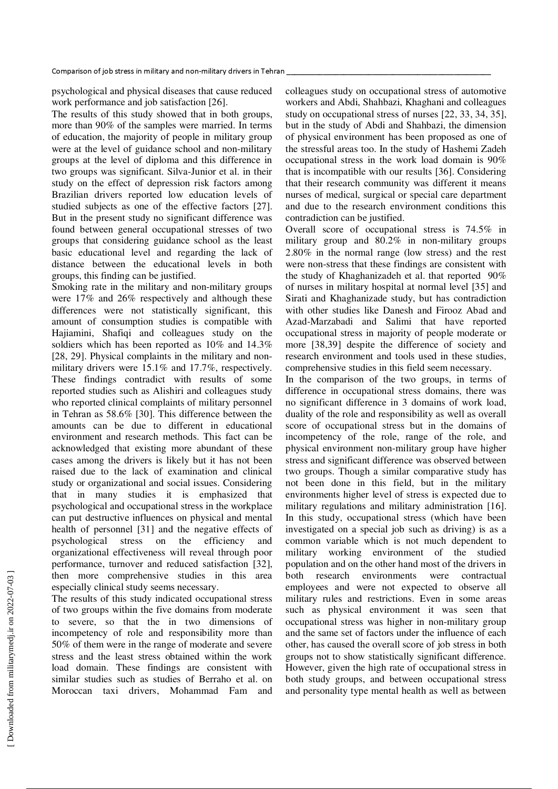psychological and physical diseases that cause reduced work performance and job satisfaction [26].

The results of this study showed that in both groups, more than 90% of the samples were married. In terms of education, the majority of people in military group were at the level of guidance school and non-military groups at the level of diploma and this difference in two groups was significant. Silva-Junior et al. in their study on the effect of depression risk factors among Brazilian drivers reported low education levels of studied subjects as one of the effective factors [27]. But in the present study no significant difference was found between general occupational stresses of two groups that considering guidance school as the least basic educational level and regarding the lack of distance between the educational levels in both groups, this finding can be justified.

Smoking rate in the military and non-military groups were 17% and 26% respectively and although these differences were not statistically significant, this amount of consumption studies is compatible with Hajiamini, Shafiqi and colleagues study on the soldiers which has been reported as 10% and 14.3% [28, 29]. Physical complaints in the military and nonmilitary drivers were 15.1% and 17.7%, respectively. These findings contradict with results of some reported studies such as Alishiri and colleagues study who reported clinical complaints of military personnel in Tehran as 58.6% [30]. This difference between the amounts can be due to different in educational environment and research methods. This fact can be acknowledged that existing more abundant of these cases among the drivers is likely but it has not been raised due to the lack of examination and clinical study or organizational and social issues. Considering that in many studies it is emphasized that psychological and occupational stress in the workplace can put destructive influences on physical and mental health of personnel [31] and the negative effects of psychological stress on the efficiency and organizational effectiveness will reveal through poor performance, turnover and reduced satisfaction [32], then more comprehensive studies in this area especially clinical study seems necessary.

The results of this study indicated occupational stress of two groups within the five domains from moderate to severe, so that the in two dimensions of incompetency of role and responsibility more than 50% of them were in the range of moderate and severe stress and the least stress obtained within the work load domain. These findings are consistent with similar studies such as studies of Berraho et al. on Moroccan taxi drivers, Mohammad Fam and

colleagues study on occupational stress of automotive workers and Abdi, Shahbazi, Khaghani and colleagues study on occupational stress of nurses [22, 33, 34, 35], but in the study of Abdi and Shahbazi, the dimension of physical environment has been proposed as one of the stressful areas too. In the study of Hashemi Zadeh occupational stress in the work load domain is 90% that is incompatible with our results [36]. Considering that their research community was different it means nurses of medical, surgical or special care department and due to the research environment conditions this contradiction can be justified.

Overall score of occupational stress is 74.5% in military group and 80.2% in non-military groups 2.80% in the normal range (low stress) and the rest were non-stress that these findings are consistent with the study of Khaghanizadeh et al. that reported 90% of nurses in military hospital at normal level [35] and Sirati and Khaghanizade study, but has contradiction with other studies like Danesh and Firooz Abad and Azad-Marzabadi and Salimi that have reported occupational stress in majority of people moderate or more [38,39] despite the difference of society and research environment and tools used in these studies, comprehensive studies in this field seem necessary.

In the comparison of the two groups, in terms of difference in occupational stress domains, there was no significant difference in 3 domains of work load, duality of the role and responsibility as well as overall score of occupational stress but in the domains of incompetency of the role, range of the role, and physical environment non-military group have higher stress and significant difference was observed between two groups. Though a similar comparative study has not been done in this field, but in the military environments higher level of stress is expected due to military regulations and military administration [16]. In this study, occupational stress (which have been investigated on a special job such as driving) is as a common variable which is not much dependent to military working environment of the studied population and on the other hand most of the drivers in both research environments were contractual employees and were not expected to observe all military rules and restrictions. Even in some areas such as physical environment it was seen that occupational stress was higher in non-military group and the same set of factors under the influence of each other, has caused the overall score of job stress in both groups not to show statistically significant difference. However, given the high rate of occupational stress in both study groups, and between occupational stress and personality type mental health as well as between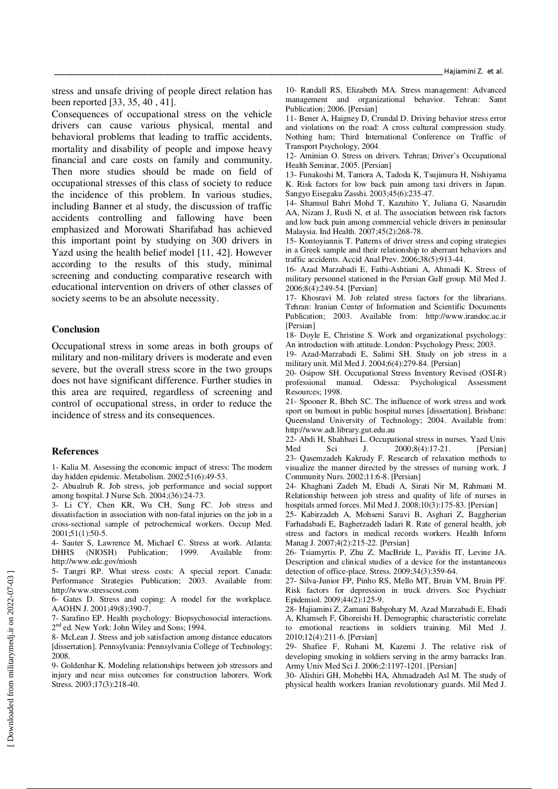stress and unsafe driving of people direct relation has been reported [33, 35, 40 , 41].

Consequences of occupational stress on the vehicle drivers can cause various physical, mental and behavioral problems that leading to traffic accidents, mortality and disability of people and impose heavy financial and care costs on family and community. Then more studies should be made on field of occupational stresses of this class of society to reduce the incidence of this problem. In various studies, including Banner et al study, the discussion of traffic accidents controlling and fallowing have been emphasized and Morowati Sharifabad has achieved this important point by studying on 300 drivers in Yazd using the health belief model [11, 42]. However according to the results of this study, minimal screening and conducting comparative research with educational intervention on drivers of other classes of society seems to be an absolute necessity.

### **Conclusion**

Occupational stress in some areas in both groups of military and non-military drivers is moderate and even severe, but the overall stress score in the two groups does not have significant difference. Further studies in this area are required, regardless of screening and control of occupational stress, in order to reduce the incidence of stress and its consequences.

#### **References**

1- Kalia M. Assessing the economic impact of stress: The modern day hidden epidemic. Metabolism. 2002;51(6):49-53.

2- Abualrub R. Job stress, job performance and social support among hospital. J Nurse Sch. 2004;(36):24-73.

3- Li CY, Chen KR, Wu CH, Sung FC. Job stress and dissatisfaction in association with non-fatal injuries on the job in a cross-sectional sample of petrochemical workers. Occup Med. 2001;51(1):50-5.

4- Sauter S, Lawrence M, Michael C. Stress at work. Atlanta: DHHS (NIOSH) Publication; 1999. Available from: http://www.edc.gov/niosh

5- Tangri RP. What stress costs: A special report. Canada: Performance Strategies Publication; 2003. Available from: http://www.stresscost.com

6- Gates D. Stress and coping: A model for the workplace. AAOHN J. 2001;49(8):390-7.

7- Sarafino EP. Health psychology: Biopsychosocial interactions. 2 nd ed. New York: John Wiley and Sons; 1994.

8- McLean J. Stress and job satisfaction among distance educators [dissertation]. Pennsylvania: Pennsylvania College of Technology; 2008.

9- Goldenhar K. Modeling relationships between job stressors and injury and near miss outcomes for construction laborers. Work Stress. 2003;17(3):218-40.

10- Randall RS, Elizabeth MA. Stress management: Advanced management and organizational behavior. Tehran: Samt Publication; 2006. [Persian]

11- Bener A, Haigney D, Crundal D. Driving behavior stress error and violations on the road: A cross cultural compression study. Nothing ham; Third International Conference on Traffic of Transport Psychology, 2004.

12- Aminian O. Stress on drivers. Tehran; Driver's Occupational Health Seminar, 2005. [Persian]

13- Funakoshi M, Tamora A, Tadoda K, Tsujimura H, Nishiyama K. Risk factors for low back pain among taxi drivers in Japan. Sangyo Eisegaku Zasshi. 2003;45(6):235-47.

14- Shamsul Bahri Mohd T, Kazuhito Y, Juliana G, Nasarudin AA, Nizam J, Rusli N, et al. The association between risk factors and low back pain among commercial vehicle drivers in peninsular Malaysia. Ind Health. 2007;45(2):268-78.

15- Kontoyiannis T. Patterns of driver stress and coping strategies in a Greek sample and their relationship to aberrant behaviors and traffic accidents. Accid Anal Prev. 2006;38(5):913-44.

16- Azad Marzabadi E, Fathi-Ashtiani A, Ahmadi K. Stress of military personnel stationed in the Persian Gulf group. Mil Med J. 2006;8(4):249-54. [Persian]

17- Khosravi M. Job related stress factors for the librarians. Tehran: Iranian Center of Information and Scientific Documents Publication; 2003. Available from: http://www.irandoc.ac.ir [Persian]

18- Doyle E, Christine S. Work and organizational psychology: An introduction with attitude. London: Psychology Press; 2003.

19- Azad-Marzabadi E, Salimi SH. Study on job stress in a military unit. Mil Med J. 2004;6(4):279-84. [Persian]

20- Osipow SH. Occupational Stress Inventory Revised (OSI-R) professional manual. Odessa: Psychological Assessment Resources; 1998.

21- Spooner R, Bbeh SC. The influence of work stress and work sport on burnout in public hospital nurses [dissertation]. Brisbane: Queensland University of Technology; 2004. Available from: http://www.adt.library.gut.edu.au

22- Abdi H, Shahbazi L. Occupational stress in nurses. Yazd Univ Med Sci J.  $2000;8(4):17-21$ . [Persian] 23- Qasemzadeh Kakrudy F. Research of relaxation methods to visualize the manner directed by the stresses of nursing work. J Community Nurs. 2002;11:6-8. [Persian]

24- Khaghani Zadeh M, Ebadi A, Sirati Nir M, Rahmani M. Relationship between job stress and quality of life of nurses in hospitals armed forces. Mil Med J. 2008;10(3):175-83. [Persian]

25- Kabirzadeh A, Mohseni Saravi B, Asghari Z, Baggherian Farhadabadi E, Bagherzadeh ladari R. Rate of general health, job stress and factors in medical records workers. Health Inform Manag J. 2007;4(2):215-22. [Persian]

26- Tsiamyrtis P, Zhu Z, MacBride L, Pavidis IT, Levine JA. Description and clinical studies of a device for the instantaneous detection of office-place. Stress. 2009;34(3):359-64.

27- Silva-Junior FP, Pinho RS, Mello MT, Bruin VM, Bruin PF. Risk factors for depression in truck drivers. Soc Psychiatr Epidemiol. 2009;44(2):125-9.

28- Hajiamini Z, Zamani Babgohary M, Azad Marzabadi E, Ebadi A, Khamseh F, Ghoreishi H. Demographic characteristic correlate to emotional reactions in soldiers training. Mil Med J. 2010;12(4):211-6. [Persian]

29- Shafiee F, Ruhani M, Kazemi J. The relative risk of developing smoking in soldiers serving in the army barracks Iran. Army Univ Med Sci J. 2006;2:1197-1201. [Persian]

30- Alishiri GH, Mohebbi HA, Ahmadzadeh Asl M. The study of physical health workers Iranian revolutionary guards. Mil Med J.